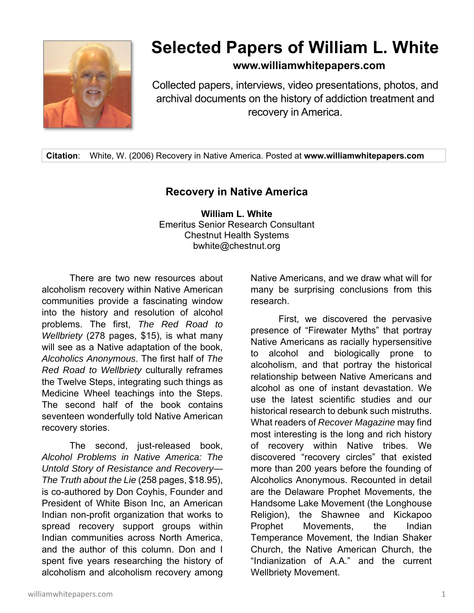

## **Selected Papers of William L. White**

**www.williamwhitepapers.com**

Collected papers, interviews, video presentations, photos, and archival documents on the history of addiction treatment and recovery in America.

**Citation**: White, W. (2006) Recovery in Native America. Posted at **www.williamwhitepapers.com** 

## **Recovery in Native America**

**William L. White**  Emeritus Senior Research Consultant Chestnut Health Systems bwhite@chestnut.org

There are two new resources about alcoholism recovery within Native American communities provide a fascinating window into the history and resolution of alcohol problems. The first, *The Red Road to Wellbriety* (278 pages, \$15), is what many will see as a Native adaptation of the book, *Alcoholics Anonymous*. The first half of *The Red Road to Wellbriety* culturally reframes the Twelve Steps, integrating such things as Medicine Wheel teachings into the Steps. The second half of the book contains seventeen wonderfully told Native American recovery stories.

 The second, just-released book, *Alcohol Problems in Native America: The Untold Story of Resistance and Recovery— The Truth about the Lie* (258 pages, \$18.95), is co-authored by Don Coyhis, Founder and President of White Bison Inc, an American Indian non-profit organization that works to spread recovery support groups within Indian communities across North America, and the author of this column. Don and I spent five years researching the history of alcoholism and alcoholism recovery among Native Americans, and we draw what will for many be surprising conclusions from this research.

First, we discovered the pervasive presence of "Firewater Myths" that portray Native Americans as racially hypersensitive to alcohol and biologically prone to alcoholism, and that portray the historical relationship between Native Americans and alcohol as one of instant devastation. We use the latest scientific studies and our historical research to debunk such mistruths. What readers of *Recover Magazine* may find most interesting is the long and rich history of recovery within Native tribes. We discovered "recovery circles" that existed more than 200 years before the founding of Alcoholics Anonymous. Recounted in detail are the Delaware Prophet Movements, the Handsome Lake Movement (the Longhouse Religion), the Shawnee and Kickapoo Prophet Movements, the Indian Temperance Movement, the Indian Shaker Church, the Native American Church, the "Indianization of A.A." and the current Wellbriety Movement.